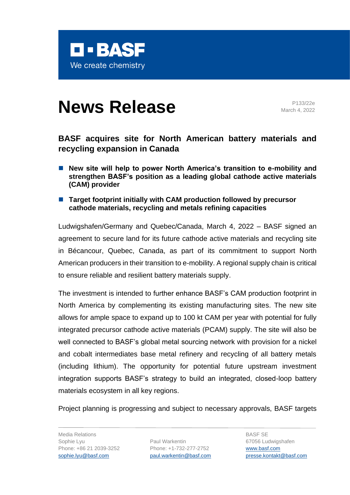

# **News Release** Primarily 2022e

March 4, 2022

# **BASF acquires site for North American battery materials and recycling expansion in Canada**

- New site will help to power North America's transition to e-mobility and **strengthen BASF's position as a leading global cathode active materials (CAM) provider**
- Target footprint initially with CAM production followed by precursor **cathode materials, recycling and metals refining capacities**

Ludwigshafen/Germany and Quebec/Canada, March 4, 2022 – BASF signed an agreement to secure land for its future cathode active materials and recycling site in Bécancour, Quebec, Canada, as part of its commitment to support North American producers in their transition to e-mobility. A regional supply chain is critical to ensure reliable and resilient battery materials supply.

The investment is intended to further enhance BASF's CAM production footprint in North America by complementing its existing manufacturing sites. The new site allows for ample space to expand up to 100 kt CAM per year with potential for fully integrated precursor cathode active materials (PCAM) supply. The site will also be well connected to BASF's global metal sourcing network with provision for a nickel and cobalt intermediates base metal refinery and recycling of all battery metals (including lithium). The opportunity for potential future upstream investment integration supports BASF's strategy to build an integrated, closed-loop battery materials ecosystem in all key regions.

Project planning is progressing and subject to necessary approvals, BASF targets

Media Relations Sophie Lyu Phone: +86 21 2039-3252 [sophie.lyu@basf.com](mailto:sophie.lyu@basf.com) 

Paul Warkentin Phone: +1-732-277-2752 [paul.warkentin@basf.com](mailto:paul.warkentin@basf.com)

BASF SE 67056 Ludwigshafen [www.basf.com](http://www.basf.com/) [presse.kontakt@basf.com](mailto:presse.kontakt@basf.com)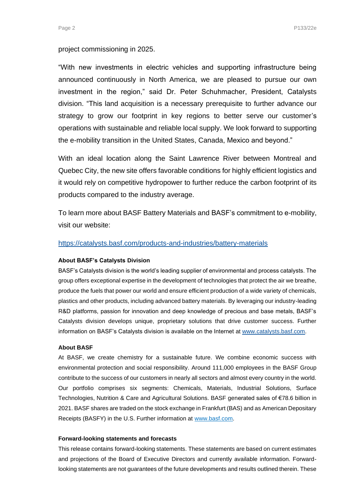## project commissioning in 2025.

"With new investments in electric vehicles and supporting infrastructure being announced continuously in North America, we are pleased to pursue our own investment in the region," said Dr. Peter Schuhmacher, President, Catalysts division. "This land acquisition is a necessary prerequisite to further advance our strategy to grow our footprint in key regions to better serve our customer's operations with sustainable and reliable local supply. We look forward to supporting the e-mobility transition in the United States, Canada, Mexico and beyond."

With an ideal location along the Saint Lawrence River between Montreal and Quebec City, the new site offers favorable conditions for highly efficient logistics and it would rely on competitive hydropower to further reduce the carbon footprint of its products compared to the industry average.

To learn more about BASF Battery Materials and BASF's commitment to e-mobility, visit our website:

# <https://catalysts.basf.com/products-and-industries/battery-materials>

### **About BASF's Catalysts Division**

BASF's Catalysts division is the world's leading supplier of environmental and process catalysts. The group offers exceptional expertise in the development of technologies that protect the air we breathe, produce the fuels that power our world and ensure efficient production of a wide variety of chemicals, plastics and other products, including advanced battery materials. By leveraging our industry-leading R&D platforms, passion for innovation and deep knowledge of precious and base metals, BASF's Catalysts division develops unique, proprietary solutions that drive customer success. Further information on BASF's Catalysts division is available on the Internet at [www.catalysts.basf.com.](http://www.catalysts.basf.com/)

#### **About BASF**

At BASF, we create chemistry for a sustainable future. We combine economic success with environmental protection and social responsibility. Around 111,000 employees in the BASF Group contribute to the success of our customers in nearly all sectors and almost every country in the world. Our portfolio comprises six segments: Chemicals, Materials, Industrial Solutions, Surface Technologies, Nutrition & Care and Agricultural Solutions. BASF generated sales of €78.6 billion in 2021. BASF shares are traded on the stock exchange in Frankfurt (BAS) and as American Depositary Receipts (BASFY) in the U.S. Further information at [www.basf.com.](https://www.basf.com/global/en.html)

#### **Forward-looking statements and forecasts**

This release contains forward-looking statements. These statements are based on current estimates and projections of the Board of Executive Directors and currently available information. Forwardlooking statements are not guarantees of the future developments and results outlined therein. These